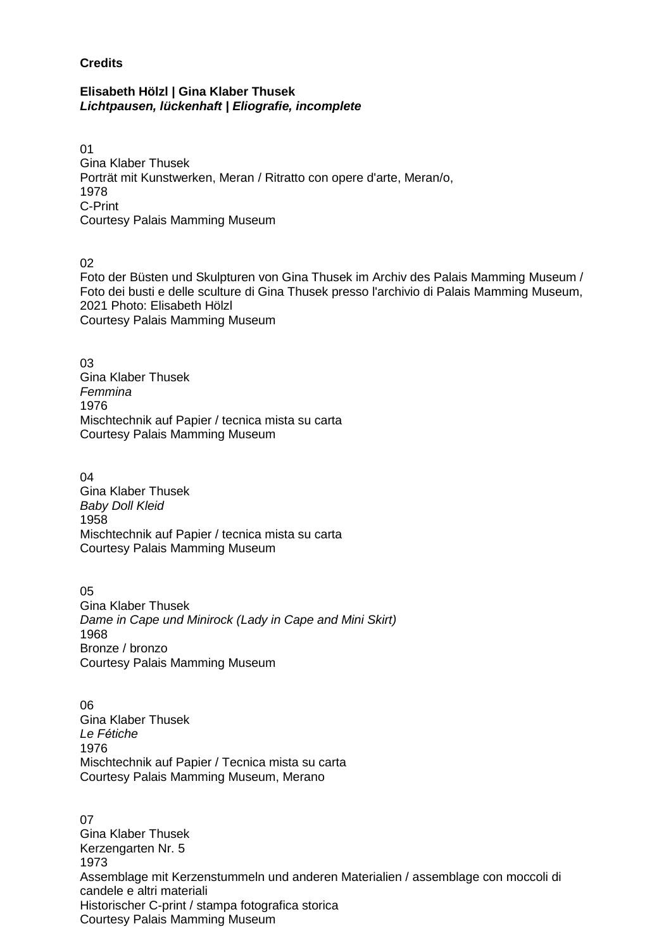## **Credits**

## **Elisabeth Hölzl | Gina Klaber Thusek**  *Lichtpausen, lückenhaft | Eliografie, incomplete*

01 Gina Klaber Thusek Porträt mit Kunstwerken, Meran / Ritratto con opere d'arte, Meran/o, 1978 C-Print Courtesy Palais Mamming Museum

02

Foto der Büsten und Skulpturen von Gina Thusek im Archiv des Palais Mamming Museum / Foto dei busti e delle sculture di Gina Thusek presso l'archivio di Palais Mamming Museum, 2021 Photo: Elisabeth Hölzl Courtesy Palais Mamming Museum

03 Gina Klaber Thusek *Femmina* 1976 Mischtechnik auf Papier / tecnica mista su carta Courtesy Palais Mamming Museum

04 Gina Klaber Thusek *Baby Doll Kleid* 1958 Mischtechnik auf Papier / tecnica mista su carta Courtesy Palais Mamming Museum

05 Gina Klaber Thusek *Dame in Cape und Minirock (Lady in Cape and Mini Skirt)* 1968 Bronze / bronzo Courtesy Palais Mamming Museum

06 Gina Klaber Thusek *Le Fétiche* 1976 Mischtechnik auf Papier / Tecnica mista su carta Courtesy Palais Mamming Museum, Merano

07 Gina Klaber Thusek Kerzengarten Nr. 5 1973 Assemblage mit Kerzenstummeln und anderen Materialien / assemblage con moccoli di candele e altri materiali Historischer C-print / stampa fotografica storica Courtesy Palais Mamming Museum